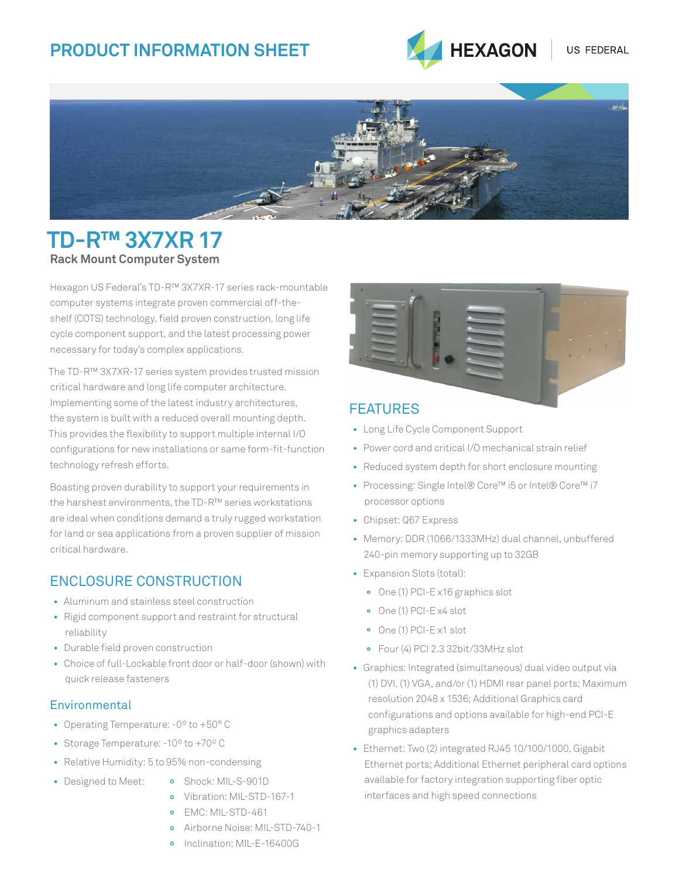# **PRODUCT INFORMATION SHEET**





# **TD-R™ 3X7XR 17 Rack Mount Computer System**

Hexagon US Federal's TD-R™ 3X7XR-17 series rack-mountable computer systems integrate proven commercial off-theshelf (COTS) technology, field proven construction, long life cycle component support, and the latest processing power necessary for today's complex applications.

The TD-R™ 3X7XR-17 series system provides trusted mission critical hardware and long life computer architecture. Implementing some of the latest industry architectures, the system is built with a reduced overall mounting depth. This provides the flexibility to support multiple internal I/O configurations for new installations or same form-fit-function technology refresh efforts.

Boasting proven durability to support your requirements in the harshest environments, the TD-R™ series workstations are ideal when conditions demand a truly rugged workstation for land or sea applications from a proven supplier of mission critical hardware.

## ENCLOSURE CONSTRUCTION

- **•** Aluminum and stainless steel construction
- **•** Rigid component support and restraint for structural reliability
- **•** Durable field proven construction
- **•** Choice of full-Lockable front door or half-door (shown) with quick release fasteners

### **Environmental**

- **•** Operating Temperature: -0º to +50° C
- **•** Storage Temperature: -10º to +70º C
- **•** Relative Humidity: 5 to 95% non-condensing

### FEATURES

- **•** Long Life Cycle Component Support
- **•** Power cord and critical I/O mechanical strain relief
- **•** Reduced system depth for short enclosure mounting
- **•** Processing: Single Intel® Core™ i5 or Intel® Core™ i7 processor options
- **•** Chipset: Q67 Express
- **•** Memory: DDR (1066/1333MHz) dual channel, unbuffered 240-pin memory supporting up to 32GB
- **•** Expansion Slots (total):
	- **°** One (1) PCI-E x16 graphics slot
	- **°** One (1) PCI-E x4 slot
	- **°** One (1) PCI-E x1 slot
	- **°** Four (4) PCI 2.3 32bit/33MHz slot
- **•** Graphics: Integrated (simultaneous) dual video output via (1) DVI, (1) VGA, and/or (1) HDMI rear panel ports; Maximum resolution 2048 x 1536; Additional Graphics card configurations and options available for high-end PCI-E graphics adapters
- **•** Ethernet: Two (2) integrated RJ45 10/100/1000, Gigabit Ethernet ports; Additional Ethernet peripheral card options available for factory integration supporting fiber optic interfaces and high speed connections
- **•** Designed to Meet: **º** Shock: MIL-S-901D
	-
	- **º** Vibration: MIL-STD-167-1
	- **º** EMC: MIL-STD-461
	- **º** Airborne Noise: MIL-STD-740-1
	- **º** Inclination: MIL-E-16400G